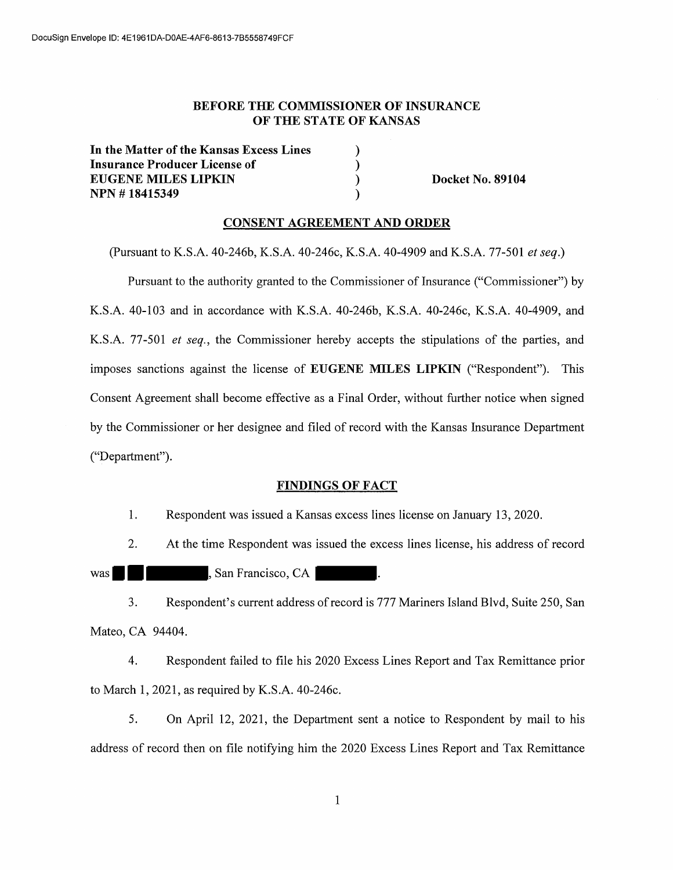## **BEFORE THE COMMISSIONER OF INSURANCE OF THE STATE OF KANSAS**

) ) ) )

In **the Matter of the Kansas Excess Lines Insurance Producer License of EUGENE MILES LIPKIN NPN** # **18415349** 

**Docket No. 89104** 

#### **CONSENT AGREEMENT AND ORDER**

(Pursuant to K.S.A. 40-246b, K.S.A. 40-246c, K.S.A. 40-4909 and K.S.A. 77-501 *et seq.)* 

Pursuant to the authority granted to the Commissioner of Insurance ("Commissioner") by K.S.A. 40-103 and in accordance with K.S.A. 40-246b, K.S.A. 40-246c, K.S.A. 40-4909, and K.S.A. 77-501 *et seq.,* the Commissioner hereby accepts the stipulations of the parties, and imposes sanctions against the license of **EUGENE MILES LIPKIN** ("Respondent"). This Consent Agreement shall become effective as a Final Order, without further notice when signed by the Commissioner or her designee and filed of record with the Kansas Insurance Department ("Department").

#### **FINDINGS OF FACT**

1. Respondent was issued a Kansas excess lines license on January 13, 2020.

2. At the time Respondent was issued the excess lines license, his address of record

was  $\blacksquare$  , San Francisco, CA

3. Respondent's current address ofrecord is 777 Mariners Island Blvd, Suite 250, San Mateo, CA 94404.

4. Respondent failed to file his 2020 Excess Lines Report and Tax Remittance prior to March 1, 2021, as required by K.S.A. 40-246c.

5. On April 12, 2021, the Department sent a notice to Respondent by mail to his address of record then on file notifying him the 2020 Excess Lines Report and Tax Remittance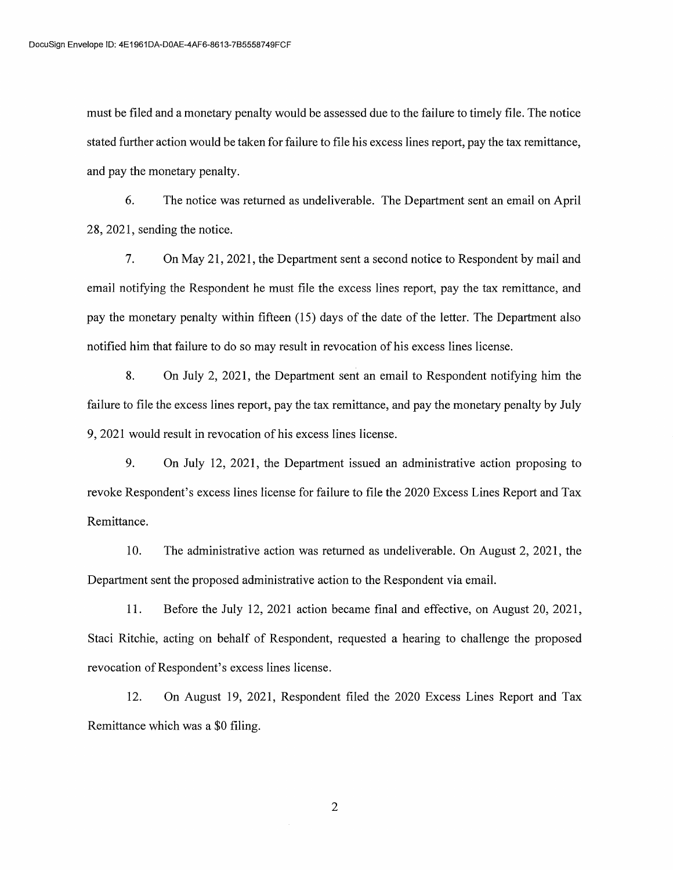must be filed and a monetary penalty would be assessed due to the failure to timely file. The notice stated further action would be taken for failure to file his excess lines report, pay the tax remittance, and pay the monetary penalty.

6. The notice was returned as undeliverable. The Department sent an email on April 28, 2021, sending the notice.

7. On May 21, 2021, the Department sent a second notice to Respondent by mail and email notifying the Respondent he must file the excess lines report, pay the tax remittance, and pay the monetary penalty within fifteen (15) days of the date of the letter. The Department also notified him that failure to do so may result in revocation of his excess lines license.

8. On July 2, 2021, the Department sent an email to Respondent notifying him the failure to file the excess lines report, pay the tax remittance, and pay the monetary penalty by July 9, 2021 would result in revocation of his excess lines license.

9. On July 12, 2021, the Department issued an administrative action proposing to revoke Respondent's excess lines license for failure to file the 2020 Excess Lines Report and Tax Remittance.

10. The administrative action was returned as undeliverable. On August 2, 2021, the Department sent the proposed administrative action to the Respondent via email.

1 I. Before the July 12, 2021 action became final and effective, on August 20, 2021, Staci Ritchie, acting on behalf of Respondent, requested a hearing to challenge the proposed revocation of Respondent's excess lines license.

12. On August 19, 2021, Respondent filed the 2020 Excess Lines Report and Tax Remittance which was a \$0 filing.

2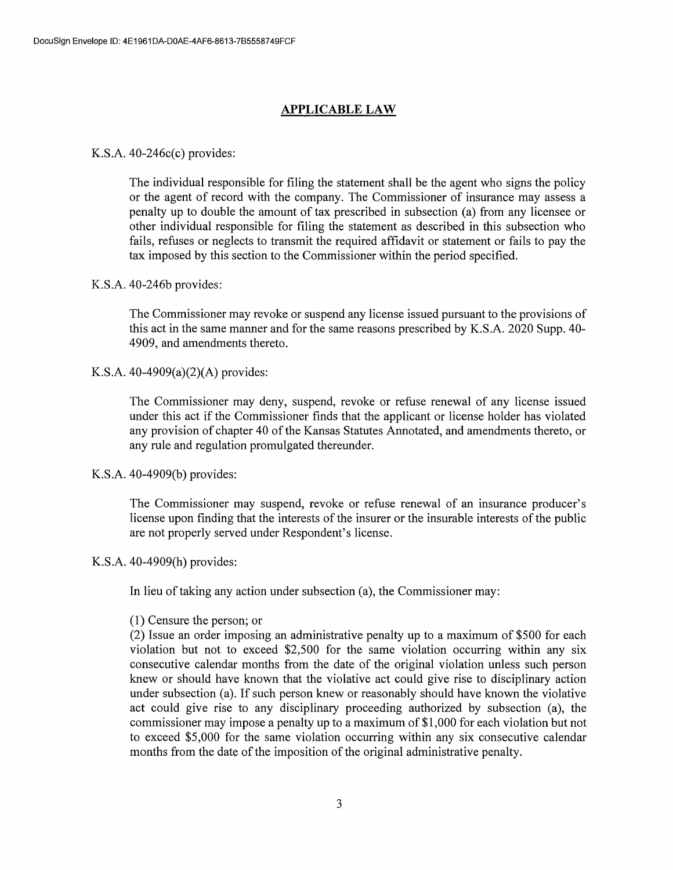# **APPLICABLE LAW**

# K.S.A. 40-246c(c) provides:

The individual responsible for filing the statement shall be the agent who signs the policy or the agent of record with the company. The Commissioner of insurance may assess a penalty up to double the amount of tax prescribed in subsection (a) from any licensee or other individual responsible for filing the statement as described in this subsection who fails, refuses or neglects to transmit the required affidavit or statement or fails to pay the tax imposed by this section to the Commissioner within the period specified.

# K.S.A. 40-246b provides:

The Commissioner may revoke or suspend any license issued pursuant to the provisions of this act in the same manner and for the same reasons prescribed by K.S.A. 2020 Supp. 40- 4909, and amendments thereto.

# K.S.A. 40-4909(a)(2)(A) provides:

The Commissioner may deny, suspend, revoke or refuse renewal of any license issued under this act if the Commissioner finds that the applicant or license holder has violated any provision of chapter 40 of the Kansas Statutes Annotated, and amendments thereto, or any rule and regulation promulgated thereunder.

## K.S.A. 40-4909(b) provides:

The Commissioner may suspend, revoke or refuse renewal of an insurance producer's license upon finding that the interests of the insurer or the insurable interests of the public are not properly served under Respondent's license.

## K.S.A. 40-4909(h) provides:

In lieu of taking any action under subsection (a), the Commissioner may:

## (1) Censure the person; or

(2) Issue an order imposing an administrative penalty up to a maximum of \$500 for each violation but not to exceed \$2,500 for the same violation occurring within any six consecutive calendar months from the date of the original violation unless such person knew or should have known that the violative act could give rise to disciplinary action under subsection (a). If such person knew or reasonably should have known the violative act could give rise to any disciplinary proceeding authorized by subsection (a), the commissioner may impose a penalty up to a maximum of \$1,000 for each violation but not to exceed \$5,000 for the same violation occurring within any six consecutive calendar months from the date of the imposition of the original administrative penalty.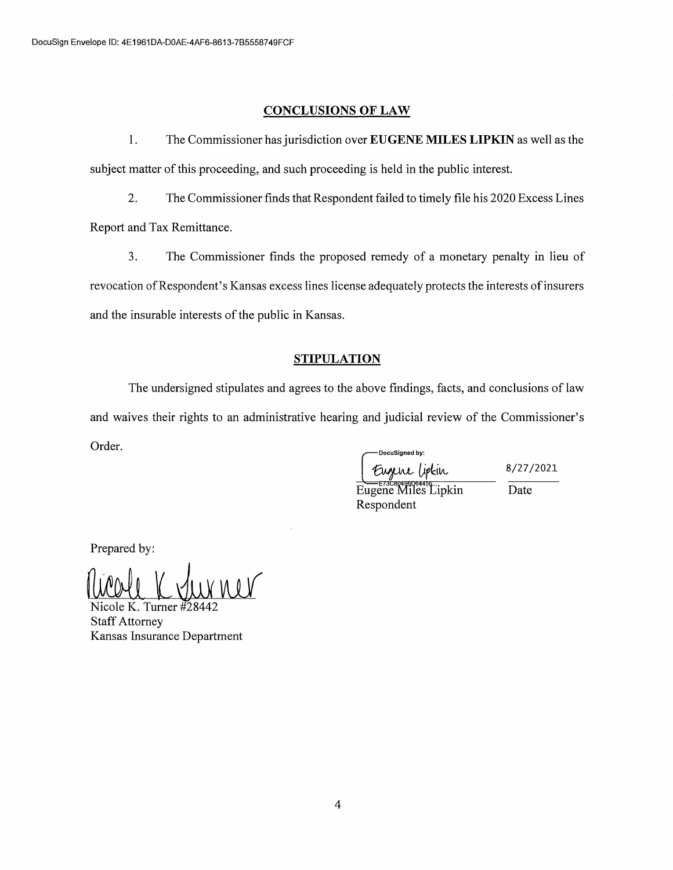# **CONCLUSIONS OF LAW**

1. The Commissioner has jurisdiction over **EUGENE MILES LIPKIN** as well as the subject matter of this proceeding, and such proceeding is held in the public interest.

2. The Commissioner finds that Respondent failed to timely file his 2020 Excess Lines Report and Tax Remittance.

3. The Commissioner finds the proposed remedy of a monetary penalty in lieu of revocation of Respondent's Kansas excess lines license adequately protects the interests of insurers and the insurable interests of the public in Kansas.

## **STIPULATION**

The undersigned stipulates and agrees to the above findings, facts, and conclusions of law and waives their rights to an administrative hearing and judicial review of the Commissioner's Order. DocuSigned by:

Eugene lipkin

Eugene Miles Lipkin Respondent

8/27/2021 Date

Prepared by:

Micole K. Turner #28442

Staff Attorney Kansas Insurance Department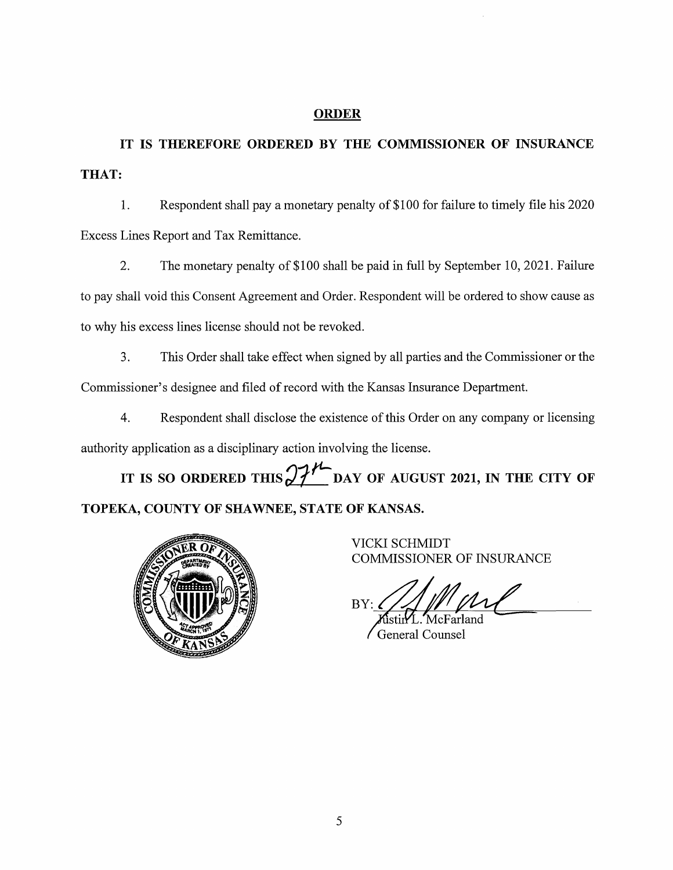# **ORDER**

**IT IS THEREFORE ORDERED BY THE COMMISSIONER OF INSURANCE THAT:** 

1. Respondent shall pay a monetary penalty of \$100 for failure to timely file his 2020 Excess Lines Report and Tax Remittance.

2. The monetary penalty of \$100 shall be paid in full by September 10, 2021. Failure to pay shall void this Consent Agreement and Order. Respondent will be ordered to show cause as to why his excess lines license should not be revoked.

3. This Order shall take effect when signed by all parties and the Commissioner or the Commissioner's designee and filed of record with the Kansas Insurance Department.

4. Respondent shall disclose the existence of this Order on any company or licensing authority application as a disciplinary action involving the license.

IT IS SO ORDERED THIS  $27<sup>11</sup>$  DAY OF AUGUST 2021, IN THE CITY OF **TOPEKA, COUNTY OF SHAWNEE, STATE OF KANSAS.** 



VICKI SCHMIDT COMMISSIONER OF INSURANCE

BY:

ûstin∕L. McFarland **General Counsel**